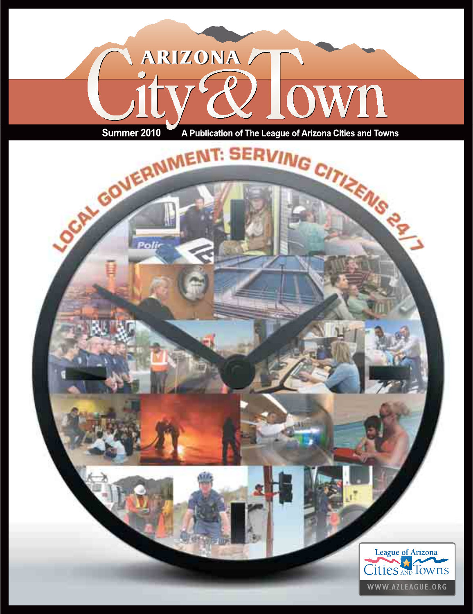

A Publication of The League of Arizona Cities and Towns

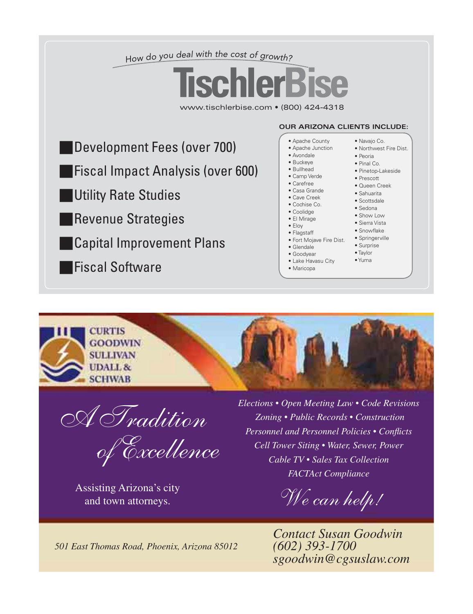



A Tradition

of Excellence

and town attorneys.

 *Elections • Open Meeting Law • Code Revisions Zoning • Public Records • Construction Personnel and Personnel Policies • Conflicts Cell Tower Siting • Water, Sewer, Power Cable TV • Sales Tax Collection FACTAct Compliance* 

Assisting Arizona's city<br>and town attorneys.<br>Also and town attorneys.

*Contact Susan Goodwin (602) 393-1700 sgoodwin@cgsuslaw.com*

*501 East Thomas Road, Phoenix, Arizona 85012*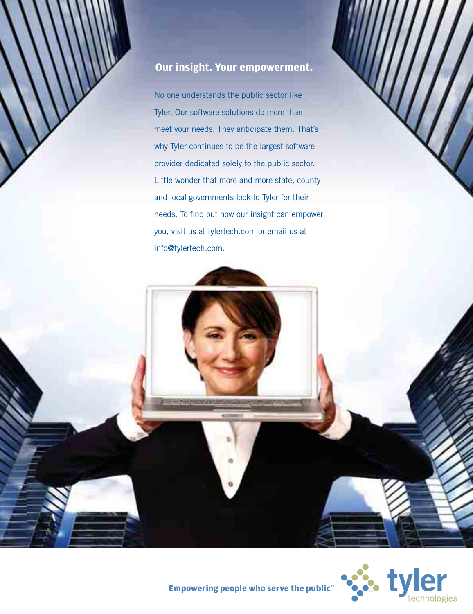### **Our insight. Your empowerment.**

No one understands the public sector like Tyler. Our software solutions do more than meet your needs. They anticipate them. That's why Tyler continues to be the largest software provider dedicated solely to the public sector. Little wonder that more and more state, county and local governments look to Tyler for their needs. To find out how our insight can empower you, visit us at tylertech.com or email us at info@tylertech.com.



Empowering people who serve the public<sup>™</sup>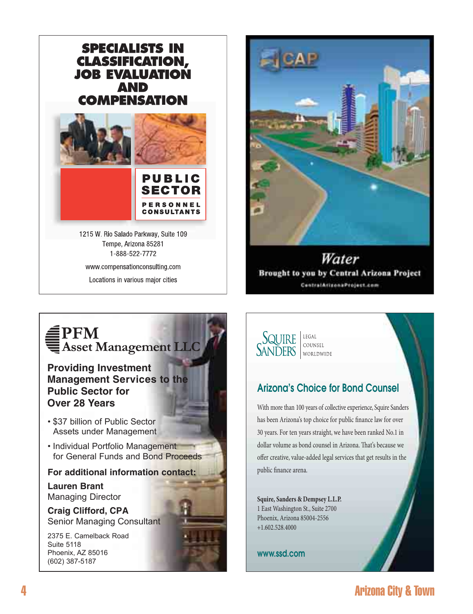

1215 W. Rio Salado Parkway, Suite 109 Tempe, Arizona 85281 1-888-522-7772 www.compensationconsulting.com Locations in various major cities



Water Brought to you by Central Arizona Project ContratArizonaProject.com

469576\_CAP.indd 1 4/22/10 6:30:07 PM

# **E**<br>PFM<br>Asset Management LLC

377141\_Public.indd 1 4/2/08 12:30:41 PM

**Providing Investment Management Services to the Public Sector for Over 28 Years**

- \$37 billion of Public Sector Assets under Management
- Individual Portfolio Management for General Funds and Bond Proceeds

**For additional information contact:**

**Lauren Brant** Managing Director

**Craig Clifford, CPA** Senior Managing Consultant

2375 E. Camelback Road Suite 5118 Phoenix, AZ 85016 (602) 387-5187



### Arizona's Choice for Bond Counsel

With more than 100 years of collective experience, Squire Sanders has been Arizona's top choice for public finance law fo r over 30 years. For ten years straight, we have been ranked No.1 in dollar volume as bond counsel in Arizona. That's because we offer creative, value-added legal services that get results in the public finance arena.

**Squire, Sanders & Dempsey L.L.P.** 1 East Washington St., Suite 2700 Phoenix, Arizona 85004-2556 +1.602.528.4000

www.ssd.com

## 4 Arizona City & Town and 1  $\sim$  4  $\sim$  4  $\sim$  4  $\sim$  4  $\sim$  4  $\sim$  50 $\sim$  50 $\sim$  50 $\sim$  50 $\sim$  50 $\sim$  50 $\sim$  50 $\sim$  50 $\sim$  50 $\sim$  50 $\sim$  50 $\sim$  50 $\sim$  50 $\sim$  50 $\sim$  50 $\sim$  50 $\sim$  50 $\sim$  50 $\sim$  50 $\sim$  50 $\sim$  50 $\sim$  50 $\sim$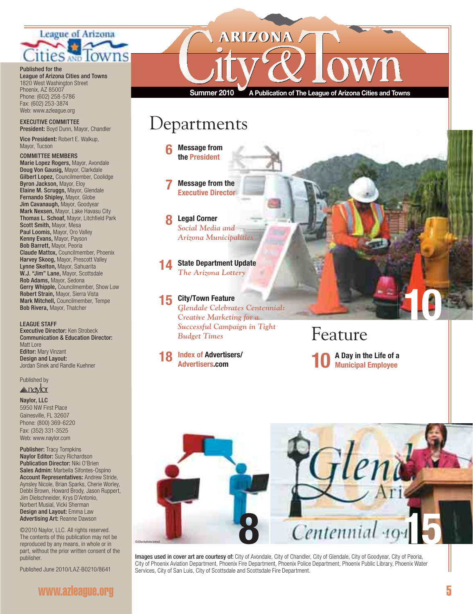

Published for the

#### League of Arizona Cities and Towns 1820 West Washington Street Phoenix, AZ 85007 Phone: (602) 258-5786 Fax: (602) 253-3874

#### Web: www.azleague.org EXECUTIVE COMMITTEE

President: Boyd Dunn, Mayor, Chandler Vice President: Robert E. Walkup,

Mayor, Tucson

#### COMMITTEE MEMBERS Marie Lopez Rogers, Mayor, Avondale Doug Von Gausig, Mayor, Clarkdale Gilbert Lopez, Councilmember, Coolidge Byron Jackson, Mayor, Eloy Elaine M. Scruggs, Mayor, Glendale Fernando Shipley, Mayor, Globe Jim Cavanaugh, Mayor, Goodyear Mark Nexsen, Mayor, Lake Havasu City Thomas L. Schoaf, Mayor, Litchfield Park Scott Smith, Mayor, Mesa Paul Loomis, Mayor, Oro Valley Kenny Evans, Mayor, Payson Bob Barrett, Mayor, Peoria Claude Mattox, Councilmember, Phoenix Harvey Skoog, Mayor, Prescott Valley Lynne Skelton, Mayor, Sahuarita W.J. "Jim" Lane, Mayor, Scottsdale Rob Adams, Mayor, Sedona Gerry Whipple, Councilmember, Show Low Robert Strain, Mayor, Sierra Vista Mark Mitchell, Councilmember, Tempe Bob Rivera, Mayor, Thatcher

LEAGUE STAFF Executive Director: Ken Strobeck Communication & Education Director: Matt Lore Editor: Mary Vinzant Design and Layout: Jordan Sinek and Randle Kuehner

Published by

#### <u>Anaylor</u>

Naylor, LLC 5950 NW First Place Gainesville, FL 32607 Phone: (800) 369-6220 Fax: (352) 331-3525 Web: www.naylor.com

Publisher: Tracy Tompkins Naylor Editor: Suzy Richardson Publication Director: Niki O'Brien Sales Admin: Marbella Sifontes-Ospino Account Representatives: Andrew Stride, Aynsley Nicole, Brian Sparks, Cherie Worley, Debbi Brown, Howard Brody, Jason Ruppert, Jim Dielschneider, Krys D'Antonio, Norbert Musial, Vicki Sherman Design and Layout: Emma Law Advertising Art: Reanne Dawson

©2010 Naylor, LLC. All rights reserved. The contents of this publication may not be reproduced by any means, in whole or in part, without the prior written consent of the publisher.

Published June 2010/LAZ-B0210/8641

### www.azleague.org

**ARIZONA** 

**Summer 2010 A Publication of The League of Arizona Cities and Towns**

## **Departments**

**6 Message from the President**

**7 Message from the Executive Director**

 **8 Legal Corner** *Social Media and Arizona Municipalities*

**State Department Update** *The Arizona Lottery*

**15 City/Town Feature** *Glendale Celebrates Centennial: Creative Marketing for a Successful Campaign in Tight Budget Times*

**Index of Advertisers/ Advertisers.com**

## Feature

**10 A Day in the Life of a Municipal Employee**

**10**

**10**



Images used in cover art are courtesy of: City of Avondale, City of Chandler, City of Glendale, City of Goodyear, City of Peoria, City of Phoenix Aviation Department, Phoenix Fire Department, Phoenix Police Department, Phoenix Public Library, Phoenix Water Services, City of San Luis, City of Scottsdale and Scottsdale Fire Department.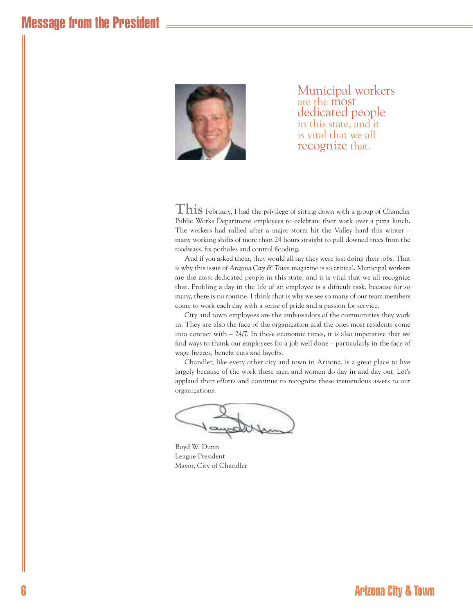

Municipal workers are the most dedicated people in this state, and it is vital that we all recognize that.

**This** February, I had the privilege of sitting down with a group of Chandler Public Works Department employees to celebrate their work over a pizza lunch. The workers had rallied after a major storm hit the Valley hard this winter – many working shifts of more than 24 hours straight to pull downed trees from the roadways, fix potholes and control flooding.

And if you asked them, they would all say they were just doing their jobs. That is why this issue of *Arizona City & Town* magazine is so critical. Municipal workers are the most dedicated people in this state, and it is vital that we all recognize that. Profiling a day in the life of an employee is a difficult task, because for so many, there is no routine. I think that is why we see so many of our team members come to work each day with a sense of pride and a passion for service.

City and town employees are the ambassadors of the communities they work in. They are also the face of the organization and the ones most residents come into contact with – 24/7. In these economic times, it is also imperative that we find ways to thank our employees for a job well done – particularly in the face of wage freezes, benefit cuts and layoffs.

Chandler, like every other city and town in Arizona, is a great place to live largely because of the work these men and women do day in and day out. Let's applaud their efforts and continue to recognize these tremendous assets to our organizations.

Boyd W. Dunn League President Mayor, City of Chandler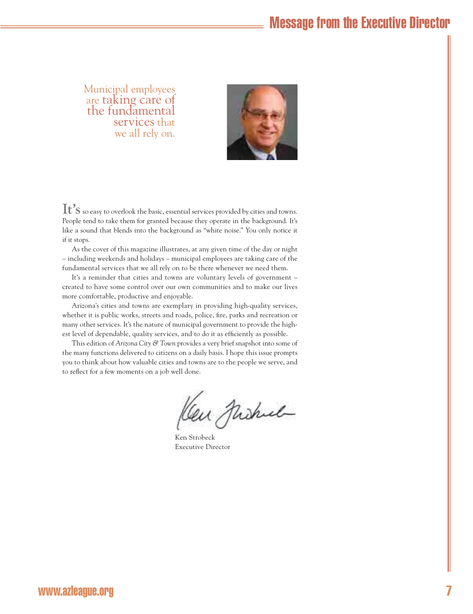Municipal employees are taking care of the fundamental services that we all rely on.



**It's**so easy to overlook the basic, essential services provided by cities and towns. People tend to take them for granted because they operate in the background. It's like a sound that blends into the background as "white noise." You only notice it if it stops.

As the cover of this magazine illustrates, at any given time of the day or night – including weekends and holidays – municipal employees are taking care of the fundamental services that we all rely on to be there whenever we need them.

It's a reminder that cities and towns are voluntary levels of government – created to have some control over our own communities and to make our lives more comfortable, productive and enjoyable.

Arizona's cities and towns are exemplary in providing high-quality services, whether it is public works, streets and roads, police, fire, parks and recreation or many other services. It's the nature of municipal government to provide the highest level of dependable, quality services, and to do it as efficiently as possible.

This edition of *Arizona City & Town* provides a very brief snapshot into some of the many functions delivered to citizens on a daily basis. I hope this issue prompts you to think about how valuable cities and towns are to the people we serve, and to reflect for a few moments on a job well done.

Cen Michel

 Ken Strobeck Executive Director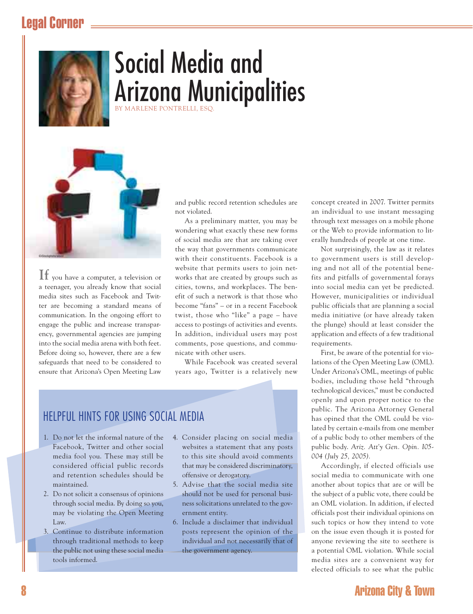## Legal Corner



# Social Media and Arizona Municipalities

BY MARLENE PONTRELLI, ESQ.



**If** you have a computer, a television or a teenager, you already know that social media sites such as Facebook and Twitter are becoming a standard means of communication. In the ongoing effort to engage the public and increase transparency, governmental agencies are jumping into the social media arena with both feet. Before doing so, however, there are a few safeguards that need to be considered to ensure that Arizona's Open Meeting Law and public record retention schedules are not violated.

As a preliminary matter, you may be wondering what exactly these new forms of social media are that are taking over the way that governments communicate with their constituents. Facebook is a website that permits users to join networks that are created by groups such as cities, towns, and workplaces. The benefit of such a network is that those who become "fans" – or in a recent Facebook twist, those who "like" a page – have access to postings of activities and events. In addition, individual users may post comments, pose questions, and communicate with other users.

While Facebook was created several years ago, Twitter is a relatively new

## HELPFUL HINTS FOR USING SOCIAL MEDIA

- 1. Do not let the informal nature of the Facebook, Twitter and other social media fool you. These may still be considered official public records and retention schedules should be maintained.
- 2. Do not solicit a consensus of opinions through social media. By doing so you, may be violating the Open Meeting Law.
- 3. Continue to distribute information through traditional methods to keep the public not using these social media tools informed.
- 4. Consider placing on social media websites a statement that any posts to this site should avoid comments that may be considered discriminatory, offensive or derogatory.
- 5. Advise that the social media site should not be used for personal business solicitations unrelated to the government entity.
- 6. Include a disclaimer that individual posts represent the opinion of the individual and not necessarily that of the government agency.

concept created in 2007. Twitter permits an individual to use instant messaging through text messages on a mobile phone or the Web to provide information to literally hundreds of people at one time.

Not surprisingly, the law as it relates to government users is still developing and not all of the potential benefits and pitfalls of governmental forays into social media can yet be predicted. However, municipalities or individual public officials that are planning a social media initiative (or have already taken the plunge) should at least consider the application and effects of a few traditional requirements.

First, be aware of the potential for violations of the Open Meeting Law (OML). Under Arizona's OML, meetings of public bodies, including those held "through technological devices," must be conducted openly and upon proper notice to the public. The Arizona Attorney General has opined that the OML could be violated by certain e-mails from one member of a public body to other members of the public body. *Ariz. Att'y Gen. Opin. I05- 004 (July 25, 2005).*

Accordingly, if elected officials use social media to communicate with one another about topics that are or will be the subject of a public vote, there could be an OML violation. In addition, if elected officials post their individual opinions on such topics or how they intend to vote on the issue even though it is posted for anyone reviewing the site to seethere is a potential OML violation. While social media sites are a convenient way for elected officials to see what the public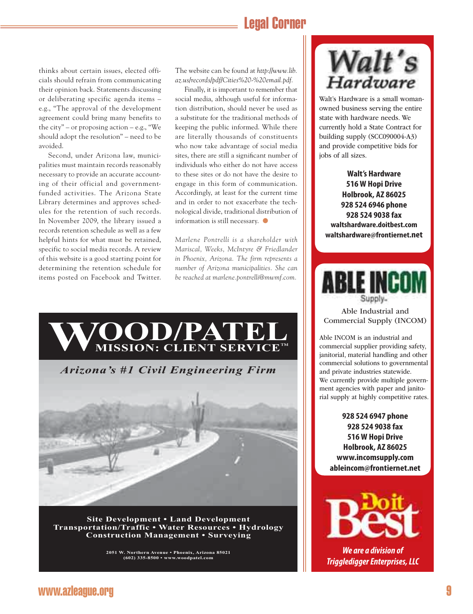## Legal Corner

thinks about certain issues, elected officials should refrain from communicating their opinion back. Statements discussing or deliberating specific agenda items – e.g., "The approval of the development agreement could bring many benefits to the city" – or proposing action – e.g., "We should adopt the resolution" – need to be avoided.

Second, under Arizona law, municipalities must maintain records reasonably necessary to provide an accurate accounting of their official and governmentfunded activities. The Arizona State Library determines and approves schedules for the retention of such records. In November 2009, the library issued a records retention schedule as well as a few helpful hints for what must be retained, specific to social media records. A review of this website is a good starting point for determining the retention schedule for items posted on Facebook and Twitter. The website can be found at *http://www.lib. az.us/records/pdf/Cities%20-%20email.pdf.*

Finally, it is important to remember that social media, although useful for information distribution, should never be used as a substitute for the traditional methods of keeping the public informed. While there are literally thousands of constituents who now take advantage of social media sites, there are still a significant number of individuals who either do not have access to these sites or do not have the desire to engage in this form of communication. Accordingly, at least for the current time and in order to not exacerbate the technological divide, traditional distribution of information is still necessary. ●

*Marlene Pontrelli is a shareholder with Mariscal, Weeks, McIntyre & Friedlander in Phoenix, Arizona. The firm represents a number of Arizona municipalities. She can be reached at marlene.pontrelli@mwmf.com.*



**Site Development • Land Development Transportation/Traffic • Water Resources • Hydrology Construction Management • Surveying**

**2051 W. Northern Avenue • Phoenix, Arizona 85021 (602) 335-8500 • www.woodpatel.com**



Walt's Hardware is a small womanowned business serving the entire state with hardware needs. We currently hold a State Contract for building supply (SCC090004-A3) and provide competitive bids for jobs of all sizes.

**Walt's Hardware 516 W Hopi Drive Holbrook, AZ 86025 928 524 6946 phone 928 524 9038 fax waltshardware.doitbest.com waltshardware@frontiernet.net**



Able Industrial and Commercial Supply (INCOM)

Able INCOM is an industrial and commercial supplier providing safety, janitorial, material handling and other commercial solutions to governmental and private industries statewide. We currently provide multiple government agencies with paper and janitorial supply at highly competitive rates.

**928 524 6947 phone 928 524 9038 fax 516 W Hopi Drive Holbrook, AZ 86025 www.incomsupply.com ableincom@frontiernet.net**



*We are a division of Triggledigger Enterprises, LLC*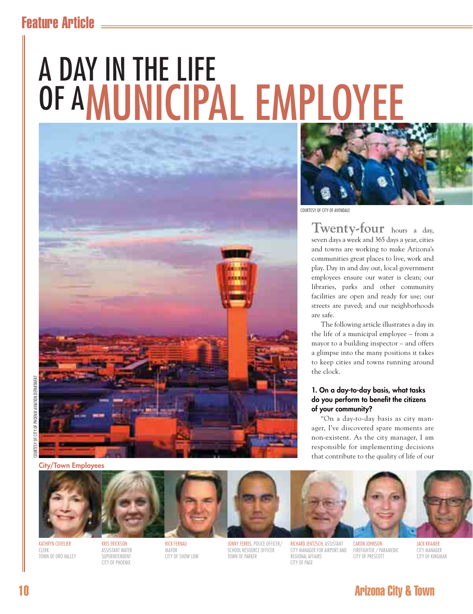## Feature Article

# A DAY IN THE LIFE OF AMUNICIPAL EMPLOYEE





COURTESY OF CITY OF AVONDALE

**Twenty-four** hours a day, seven days a week and 365 days a year, cities and towns are working to make Arizona's communities great places to live, work and play. Day in and day out, local government employees ensure our water is clean; our libraries, parks and other community facilities are open and ready for use; our streets are paved; and our neighborhoods are safe.

The following article illustrates a day in the life of a municipal employee – from a mayor to a building inspector – and offers a glimpse into the many positions it takes to keep cities and towns running around the clock.

#### **1. On a day-to-day basis, what tasks**  do you perform to benefit the citizens **of your community?**

"On a day-to-day basis as city manager, I've discovered spare moments are non-existent. As the city manager, I am responsible for implementing decisions that contribute to the quality of life of our

**City/Town Employees**



KATHRYN CUVELIER **CLERK** TOWN OF ORO VALLEY

KRIS ERICKSON ASSISTANT WATER SUPERINTENDENT CITY OF PHOENIX

RICK FERNAU MAYOR CITY OF SHOW LOW JONNY FERRIS, POLICE OFFICER/ SCHOOL RESOURCE OFFICER TOWN OF PARKER

RICHARD JENTZSCH, ASSISTANT CITY MANAGER FOR AIRPORT AND REGIONAL AFFAIRS CITY OF PAGE

CARON JOHNSON FIREFIGHTER / PARAMEDIC CITY OF PRESCOTT

JACK KRAMER CITY MANAGER CITY OF KINGMAN

## 10 Arizona City & Town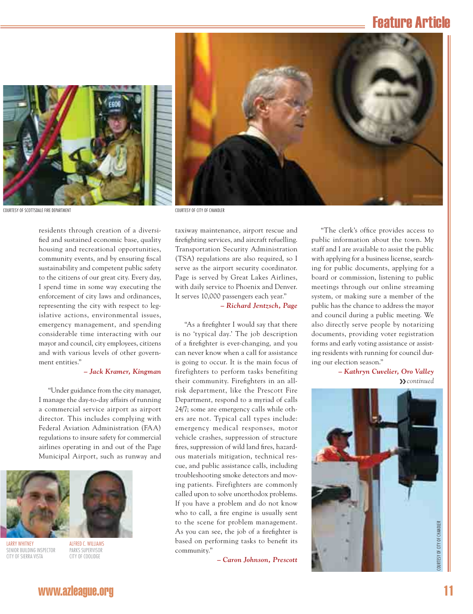## Feature Article





residents through creation of a diversified and sustained economic base, quality housing and recreational opportunities, community events, and by ensuring fiscal sustainability and competent public safety to the citizens of our great city. Every day, I spend time in some way executing the enforcement of city laws and ordinances, representing the city with respect to legislative actions, environmental issues, emergency management, and spending considerable time interacting with our mayor and council, city employees, citizens and with various levels of other government entities."

#### *– Jack Kramer, Kingman*

"Under guidance from the city manager, I manage the day-to-day affairs of running a commercial service airport as airport director. This includes complying with Federal Aviation Administration (FAA) regulations to insure safety for commercial airlines operating in and out of the Page Municipal Airport, such as runway and



LARRY WHITNEY SENIOR BUILDING INSPECTOR CITY OF SIERRA VISTA

ALFRED C. WILLIAMS PARKS SUPERVISOR CITY OF COOLIDGE

taxiway maintenance, airport rescue and firefighting services, and aircraft refuelling. Transportation Security Administration (TSA) regulations are also required, so I serve as the airport security coordinator. Page is served by Great Lakes Airlines, with daily service to Phoenix and Denver. It serves 10,000 passengers each year."

#### *– Richard Jentzsch, Page*

"As a firefighter I would say that there is no 'typical day.' The job description of a firefighter is ever-changing, and you can never know when a call for assistance is going to occur. It is the main focus of firefighters to perform tasks benefiting their community. Firefighters in an allrisk department, like the Prescott Fire Department, respond to a myriad of calls 24/7; some are emergency calls while others are not. Typical call types include: emergency medical responses, motor vehicle crashes, suppression of structure fires, suppression of wild land fires, hazardous materials mitigation, technical rescue, and public assistance calls, including troubleshooting smoke detectors and moving patients. Firefighters are commonly called upon to solve unorthodox problems. If you have a problem and do not know who to call, a fire engine is usually sent to the scene for problem management. As you can see, the job of a firefighter is based on performing tasks to benefit its community."

*– Caron Johnson, Prescott*

"The clerk's office provides access to public information about the town. My staff and I are available to assist the public with applying for a business license, searching for public documents, applying for a board or commission, listening to public meetings through our online streaming system, or making sure a member of the public has the chance to address the mayor and council during a public meeting. We also directly serve people by notarizing documents, providing voter registration forms and early voting assistance or assisting residents with running for council during our election season."

> *– Kathryn Cuvelier, Oro Valley* ❯❯ *continued*

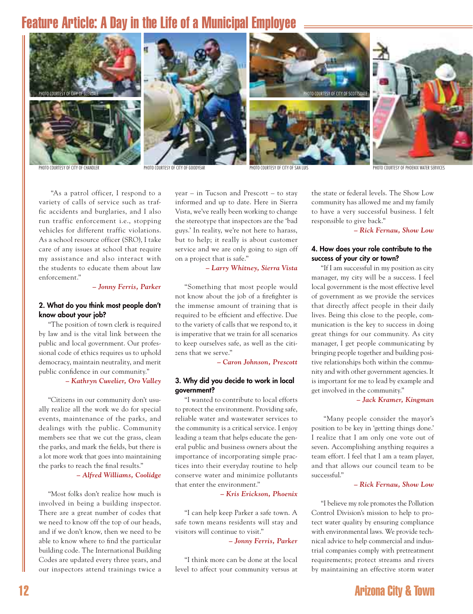## Feature Article: A Day in the Life of a Municipal Employee



PHOTO COURTESY OF CITY OF CHANDLER PHOTO COURTESY OF CITY OF GOODYFAR PHOTO COURTESY OF CITY OF SAN LUIS

PHOTO COURTESY OF PHOENIX WATER SERVICES

 "As a patrol officer, I respond to a variety of calls of service such as traffic accidents and burglaries, and I also run traffic enforcement i.e., stopping vehicles for different traffic violations. As a school resource officer (SRO), I take care of any issues at school that require my assistance and also interact with the students to educate them about law enforcement."

#### *– Jonny Ferris, Parker*

#### **2. What do you think most people don't know about your job?**

"The position of town clerk is required by law and is the vital link between the public and local government. Our professional code of ethics requires us to uphold democracy, maintain neutrality, and merit public confidence in our community."

#### *– Kathryn Cuvelier, Oro Valley*

"Citizens in our community don't usually realize all the work we do for special events, maintenance of the parks, and dealings with the public. Community members see that we cut the grass, clean the parks, and mark the fields, but there is a lot more work that goes into maintaining the parks to reach the final results."

#### *– Alfred Williams, Coolidge*

"Most folks don't realize how much is involved in being a building inspector. There are a great number of codes that we need to know off the top of our heads, and if we don't know, then we need to be able to know where to find the particular building code. The International Building Codes are updated every three years, and our inspectors attend trainings twice a year – in Tucson and Prescott – to stay informed and up to date. Here in Sierra Vista, we've really been working to change the stereotype that inspectors are the 'bad guys.' In reality, we're not here to harass, but to help; it really is about customer service and we are only going to sign off on a project that is safe."

*– Larry Whitney, Sierra Vista*

"Something that most people would not know about the job of a firefighter is the immense amount of training that is required to be efficient and effective. Due to the variety of calls that we respond to, it is imperative that we train for all scenarios to keep ourselves safe, as well as the citizens that we serve."

*– Caron Johnson, Prescott*

#### **3. Why did you decide to work in local government?**

"I wanted to contribute to local efforts to protect the environment. Providing safe, reliable water and wastewater services to the community is a critical service. I enjoy leading a team that helps educate the general public and business owners about the importance of incorporating simple practices into their everyday routine to help conserve water and minimize pollutants that enter the environment."

*– Kris Erickson, Phoenix*

"I can help keep Parker a safe town. A safe town means residents will stay and visitors will continue to visit."

*– Jonny Ferris, Parker*

"I think more can be done at the local level to affect your community versus at

the state or federal levels. The Show Low community has allowed me and my family to have a very successful business. I felt responsible to give back."

*– Rick Fernau, Show Low*

#### **4. How does your role contribute to the success of your city or town?**

"If I am successful in my position as city manager, my city will be a success. I feel local government is the most effective level of government as we provide the services that directly affect people in their daily lives. Being this close to the people, communication is the key to success in doing great things for our community. As city manager, I get people communicating by bringing people together and building positive relationships both within the community and with other government agencies. It is important for me to lead by example and get involved in the community."

*– Jack Kramer, Kingman*

 "Many people consider the mayor's position to be key in 'getting things done.' I realize that I am only one vote out of seven. Accomplishing anything requires a team effort. I feel that I am a team player, and that allows our council team to be successful."

#### *– Rick Fernau, Show Low*

"I believe my role promotes the Pollution Control Division's mission to help to protect water quality by ensuring compliance with environmental laws. We provide technical advice to help commercial and industrial companies comply with pretreatment requirements; protect streams and rivers by maintaining an effective storm water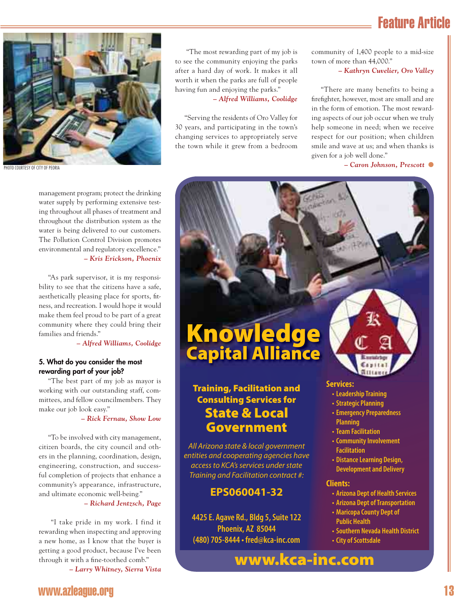## Feature Article



management program; protect the drinking water supply by performing extensive testing throughout all phases of treatment and throughout the distribution system as the water is being delivered to our customers. The Pollution Control Division promotes environmental and regulatory excellence." *– Kris Erickson, Phoenix*

"As park supervisor, it is my responsibility to see that the citizens have a safe, aesthetically pleasing place for sports, fitness, and recreation. I would hope it would make them feel proud to be part of a great community where they could bring their families and friends."

*– Alfred Williams, Coolidge*

#### **5. What do you consider the most rewarding part of your job?**

"The best part of my job as mayor is working with our outstanding staff, committees, and fellow councilmembers. They make our job look easy."

*– Rick Fernau, Show Low*

"To be involved with city management, citizen boards, the city council and others in the planning, coordination, design, engineering, construction, and successful completion of projects that enhance a community's appearance, infrastructure, and ultimate economic well-being."

*– Richard Jentzsch, Page*

 "I take pride in my work. I find it rewarding when inspecting and approving a new home, as I know that the buyer is getting a good product, because I've been through it with a fine-toothed comb."

*– Larry Whitney, Sierra Vista*

 "The most rewarding part of my job is to see the community enjoying the parks after a hard day of work. It makes it all worth it when the parks are full of people having fun and enjoying the parks."

*– Alfred Williams, Coolidge*

"Serving the residents of Oro Valley for 30 years, and participating in the town's changing services to appropriately serve the town while it grew from a bedroom community of 1,400 people to a mid-size town of more than 44,000."

*– Kathryn Cuvelier, Oro Valley*

"There are many benefits to being a firefighter, however, most are small and are in the form of emotion. The most rewarding aspects of our job occur when we truly help someone in need; when we receive respect for our position; when children smile and wave at us; and when thanks is given for a job well done."

## **Knowledge Capital Alliance**

### **Training, Facilitation and Consulting Services for State & Local Government**

All Arizona state & local government entities and cooperating agencies have access to KCA's services under state Training and Facilitation contract #:

### **EPS060041-32**

**4425 E. Agave Rd., Bldg 5, Suite 122 Phoenix, AZ 85044 (480) 705-8444 • fred@kca-inc.com**

#### **Services:**

- **Leadership Training**
- **Strategic Planning**
- **Emergency Preparedness Planning**
- **Team Facilitation**
- **Community Involvement Facilitation**
- **Distance Learning Design, Development and Delivery**

#### **Clients:**

- **Arizona Dept of Health Services**
- **Arizona Dept of Transportation**
- **Maricopa County Dept of Public Health**
- **Southern Nevada Health District**
- **City of Scottsdale**

**www.kca-inc.com**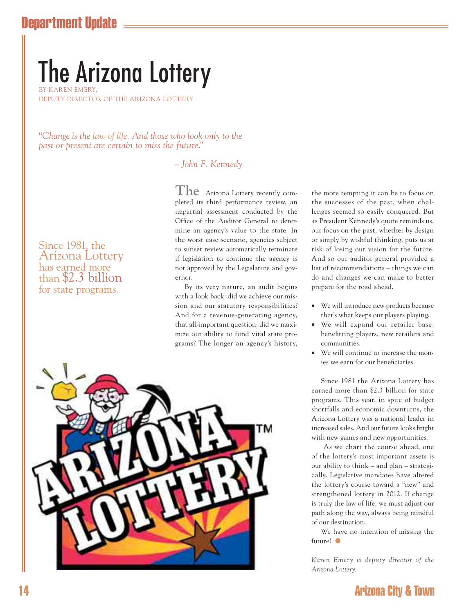## Department Update

# The Arizona Lottery

BY KAREN EMERY, DEPUTY DIRECTOR OF THE ARIZONA LOTTERY

"*Change is the law of life. And those who look only to the past or present are certain to miss the future*."

– *John F. Kennedy*

Since 1981, the Arizona Lottery has earned more than \$2.3 billion for state programs.

**The** Arizona Lottery recently completed its third performance review, an impartial assessment conducted by the Office of the Auditor General to determine an agency's value to the state. In the worst case scenario, agencies subject to sunset review automatically terminate if legislation to continue the agency is not approved by the Legislature and governor.

By its very nature, an audit begins with a look back: did we achieve our mission and our statutory responsibilities? And for a revenue-generating agency, that all-important question: did we maximize our ability to fund vital state programs? The longer an agency's history,



the more tempting it can be to focus on the successes of the past, when challenges seemed so easily conquered. But as President Kennedy's quote reminds us, our focus on the past, whether by design or simply by wishful thinking, puts us at risk of losing our vision for the future. And so our auditor general provided a list of recommendations – things we can do and changes we can make to better prepare for the road ahead.

- We will introduce new products because that's what keeps our players playing.
- We will expand our retailer base, benefitting players, new retailers and communities.
- We will continue to increase the monies we earn for our beneficiaries.

Since 1981 the Arizona Lottery has earned more than \$2.3 billion for state programs. This year, in spite of budget shortfalls and economic downturns, the Arizona Lottery was a national leader in increased sales. And our future looks bright with new games and new opportunities.

 As we chart the course ahead, one of the lottery's most important assets is our ability to think – and plan – strategically. Legislative mandates have altered the lottery's course toward a "new" and strengthened lottery in 2012. If change is truly the law of life, we must adjust our path along the way, always being mindful of our destination.

We have no intention of missing the future! ●

*Karen Emery is deputy director of the Arizona Lottery.*

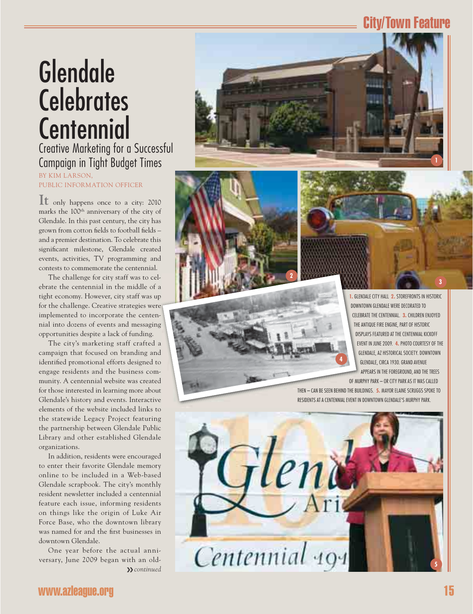## City/Town Feature

# Glendale **Celebrates Centennial**

## Creative Marketing for a Successful Campaign in Tight Budget Times BY KIM LARSON,

PUBLIC INFORMATION OFFICER

**It** only happens once to a city: 2010 marks the 100<sup>th</sup> anniversary of the city of Glendale. In this past century, the city has grown from cotton fields to football fields and a premier destination. To celebrate this significant milestone, Glendale created events, activities, TV programming and contests to commemorate the centennial.

The challenge for city staff was to celebrate the centennial in the middle of a tight economy. However, city staff was up for the challenge. Creative strategies were implemented to incorporate the centennial into dozens of events and messaging opportunities despite a lack of funding. e **2** 

The city's marketing staff crafted a campaign that focused on branding and identified promotional efforts designed to engage residents and the business community. A centennial website was created for those interested in learning more about Glendale's history and events. Interactive elements of the website included links to the statewide Legacy Project featuring the partnership between Glendale Public Library and other established Glendale organizations.

In addition, residents were encouraged to enter their favorite Glendale memory online to be included in a Web-based Glendale scrapbook. The city's monthly resident newsletter included a centennial feature each issue, informing residents on things like the origin of Luke Air Force Base, who the downtown library was named for and the first businesses in downtown Glendale.

One year before the actual anniversary, June 2009 began with an old-❯❯ *continued*



**1.** GLENDALE CITY HALL **2.** STOREFRONTS IN HISTORIC GLEN DOWNTOWN GLENDALE WERE DECORATED TO DOWNT CELEBRATE THE CENTENNIAL. **3.** CHILDREN ENJOYED CELEBR THE ANTIQUE FIRE ENGINE, PART OF HISTORIC THE A DISPLAYS FEATURED AT THE CENTENNIAL KICKOFF DISP EVENT IN JUNE 2009. **4.** PHOTO COURTESY OF THE EVE GLENDALE, AZ HISTORICAL SOCIETY. DOWNTOWN GLE GLENDALE, CIRCA 1930. GRAND AVENUE GL APPEARS IN THE FOREGROUND, AND THE TREES A OF MURPHY PARK – OR CITY PARK AS IT WAS CALLED OF MURP

**3**

THEN — CAN BE SEEN BEHIND THE BUILDINGS. **5.** MAYOR ELAINE SCRUGGS SPOKE TO RESIDENTS AT A CENTENNIAL EVENT IN DOWNTOWN GLENDALE'S MURPHY PARK. D

**4**

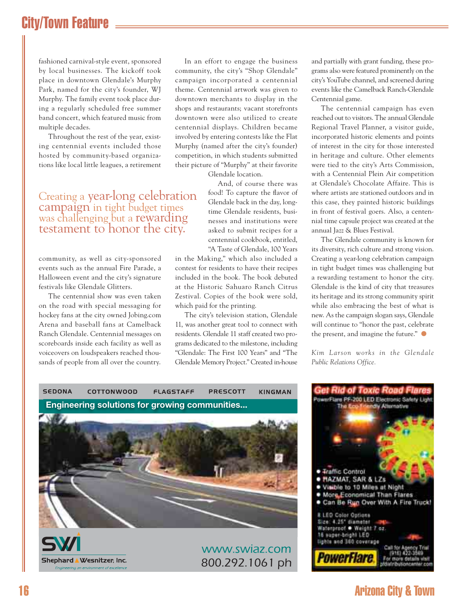## City/Town Feature

fashioned carnival-style event, sponsored by local businesses. The kickoff took place in downtown Glendale's Murphy Park, named for the city's founder, WJ Murphy. The family event took place during a regularly scheduled free summer band concert, which featured music from multiple decades.

Throughout the rest of the year, existing centennial events included those hosted by community-based organizations like local little leagues, a retirement

# Creating a year-long celebration campaign in tight budget times was challenging but a rewarding testament to honor the city.

community, as well as city-sponsored events such as the annual Fire Parade, a Halloween event and the city's signature festivals like Glendale Glitters.

 The centennial show was even taken on the road with special messaging for hockey fans at the city owned Jobing.com Arena and baseball fans at Camelback Ranch Glendale. Centennial messages on scoreboards inside each facility as well as voiceovers on loudspeakers reached thousands of people from all over the country.

In an effort to engage the business community, the city's "Shop Glendale" campaign incorporated a centennial theme. Centennial artwork was given to downtown merchants to display in the shops and restaurants; vacant storefronts downtown were also utilized to create centennial displays. Children became involved by entering contests like the Flat Murphy (named after the city's founder) competition, in which students submitted their picture of "Murphy" at their favorite

Glendale location.

And, of course there was food! To capture the flavor of Glendale back in the day, longtime Glendale residents, businesses and institutions were asked to submit recipes for a centennial cookbook, entitled, "A Taste of Glendale, 100 Years

in the Making," which also included a contest for residents to have their recipes included in the book. The book debuted at the Historic Sahuaro Ranch Citrus Zestival. Copies of the book were sold, which paid for the printing.

The city's television station, Glendale 11, was another great tool to connect with residents. Glendale 11 staff created two programs dedicated to the milestone, including "Glendale: The First 100 Years" and "The Glendale Memory Project." Created in-house

and partially with grant funding, these programs also were featured prominently on the city's YouTube channel, and screened during events like the Camelback Ranch-Glendale Centennial game.

The centennial campaign has even reached out to visitors. The annual Glendale Regional Travel Planner, a visitor guide, incorporated historic elements and points of interest in the city for those interested in heritage and culture. Other elements were tied to the city's Arts Commission, with a Centennial Plein Air competition at Glendale's Chocolate Affaire. This is where artists are stationed outdoors and in this case, they painted historic buildings in front of festival goers. Also, a centennial time capsule project was created at the annual Jazz & Blues Festival.

The Glendale community is known for its diversity, rich culture and strong vision. Creating a year-long celebration campaign in tight budget times was challenging but a rewarding testament to honor the city. Glendale is the kind of city that treasures its heritage and its strong community spirit while also embracing the best of what is new. As the campaign slogan says, Glendale will continue to "honor the past, celebrate the present, and imagine the future." ●

*Kim Larson works in the Glendale Public Relations Office.*





## 16 Arizona City & Town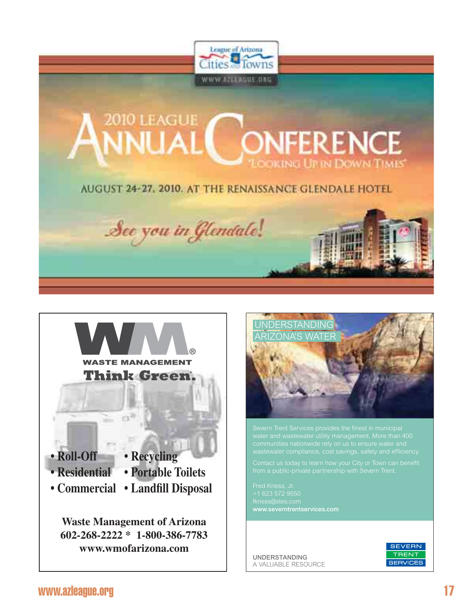





+1 623 572 9550 www.severntrentservices.com

UNDERSTANDING A VALUABLE RESOURCE

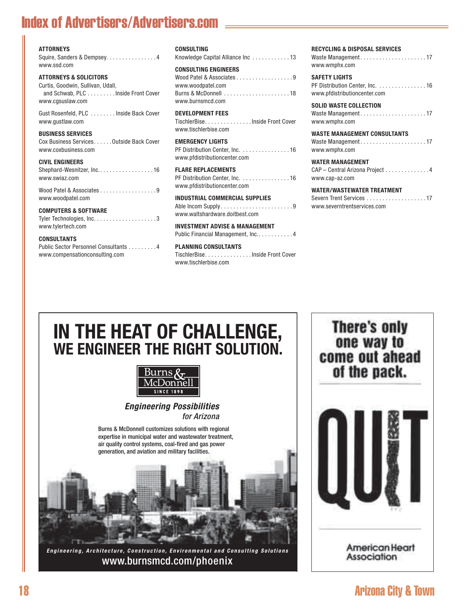## Index of Advertisers/Advertisers.com

#### **ATTORNEYS**

Squire, Sanders & Dempsey. . . . . . . . . . . . . . . 4 www.ssd.com

#### **ATTORNEYS & SOLICITORS**

Curtis, Goodwin, Sullivan, Udall, and Schwab, PLC . . . . . . . . . Inside Front Cover www.cgsuslaw.com

Gust Rosenfeld, PLC . . . . . . . . Inside Back Cover www.gustlaw.com

#### **BUSINESS SERVICES**

Cox Business Services. . . . . . Outside Back Cover www.coxbusiness.com

#### **CIVIL ENGINEERS**

| www.swiaz.com |  |
|---------------|--|

Wood Patel & Associates . . . . . . . . . . . . . . . . 9 www.woodpatel.com

#### **COMPUTERS & SOFTWARE**

| www.tylertech.com |  |  |  |  |  |  |  |  |  |  |
|-------------------|--|--|--|--|--|--|--|--|--|--|

#### **CONSULTANTS**

Public Sector Personnel Consultants . . . . . . . . . 4 www.compensationconsulting.com

| CONSULTING |  |
|------------|--|
|------------|--|

Knowledge Capital Alliance Inc . . . . . . . . . . . . 13

#### **CONSULTING ENGINEERS**

| Wood Patel & Associates $\dots\dots\dots\dots\dots\dots9$ |  |
|-----------------------------------------------------------|--|
| www.woodpatel.com                                         |  |
|                                                           |  |
| www.burnsmcd.com                                          |  |

**DEVELOPMENT FEES** TischlerBise. . . . . . . . . . . . . . . Inside Front Cover www.tischlerbise.com

#### **EMERGENCY LIGHTS**

PF Distribution Center, Inc. . . . . . . . . . . . . . . 16 www.pfdistributioncenter.com

#### **FLARE REPLACEMENTS** PF Distribution Center, Inc. . . . . . . . . . . . . . . 16 www.pfdistributioncenter.com

#### **INDUSTRIAL COMMERCIAL SUPPLIES** Able Incom Supply . . . . . . . . . . . . . . . . . . . . . . . 9

www.waltshardware.doitbest.com

**INVESTMENT ADVISE & MANAGEMENT** Public Financial Management, Inc.. . . . . . . . . . 4

**PLANNING CONSULTANTS** TischlerBise. . . . . . . . . . . . . . . Inside Front Cover www.tischlerbise.com

#### **RECYCLING & DISPOSAL SERVICES**

Waste Management........................17 www.wmphx.com

**SAFETY LIGHTS** PF Distribution Center, Inc. . . . . . . . . . . . . . . 16 www.pfdistributioncenter.com

**SOLID WASTE COLLECTION** Waste Management . . . . . . . . . . . . . . . . . . . . . 17 www.wmphx.com

#### **WASTE MANAGEMENT CONSULTANTS**

Waste Management.......................17 www.wmphx.com

#### **WATER MANAGEMENT**

| CAP – Central Arizona Project 4 |  |
|---------------------------------|--|
| www.cap-az.com                  |  |

#### **WATER/WASTEWATER TREATMENT**

Severn Trent Services . . . . . . . . . . . . . . . . . 17 www.severntrentservices.com

## **IN THE HEAT OF CHALLENGE, WE ENGINEER THE RIGHT SOLUTION.**



#### *Engineering Possibilities* for Arizona



*Engineering, Architecture, Construction, Environmental and Consulting Solutions* www.burnsmcd.com/phoenix

**There's only** one way to come out ahead of the pack.



18 Arizona City & Town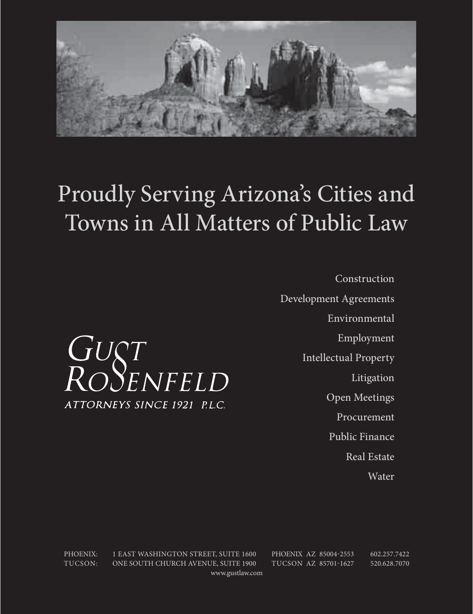

# Proudly Serving Arizona's Cities and Towns in All Matters of Public Law

Construction Development Agreements Environmental Employment Intellectual Property Litigation Open Meetings Procurement Public Finance Real Estate

Water

PHOENIX: 1 EAST WASHINGTON STREET, SUITE 1600 PHOENIX AZ 85004-2553 602.257.7422 TUCSON: ONE SOUTH CHURCH AVENUE, SUITE 1900 TUCSON AZ 85701-1627 520.628.7070 www.gustlaw.com

GUST<br>ROSENFELD ATTORNEYS SINCE 1921 P.L.C.